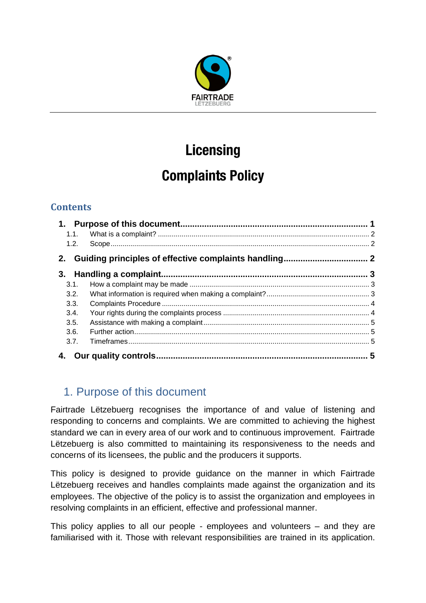

# **Licensing**

## **Complaints Policy**

### **Contents**

| 1.1. |                      |  |
|------|----------------------|--|
| 1.2. |                      |  |
| 2.   |                      |  |
| 3.   |                      |  |
| 3.1. |                      |  |
| 3.2. |                      |  |
| 3.3. |                      |  |
| 3.4. |                      |  |
| 3.5. |                      |  |
| 3.6. |                      |  |
| 3.7. |                      |  |
|      | Our quality controls |  |

## <span id="page-0-0"></span>1. Purpose of this document

Fairtrade Lëtzebuerg recognises the importance of and value of listening and responding to concerns and complaints. We are committed to achieving the highest standard we can in every area of our work and to continuous improvement. Fairtrade Lëtzebuerg is also committed to maintaining its responsiveness to the needs and concerns of its licensees, the public and the producers it supports.

This policy is designed to provide guidance on the manner in which Fairtrade Lëtzebuerg receives and handles complaints made against the organization and its employees. The objective of the policy is to assist the organization and employees in resolving complaints in an efficient, effective and professional manner.

This policy applies to all our people - employees and volunteers – and they are familiarised with it. Those with relevant responsibilities are trained in its application.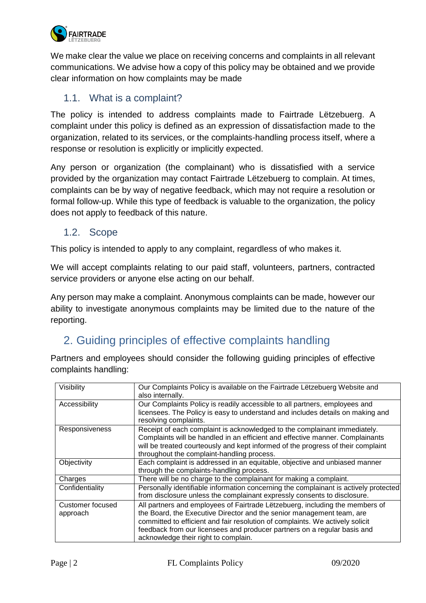

We make clear the value we place on receiving concerns and complaints in all relevant communications. We advise how a copy of this policy may be obtained and we provide clear information on how complaints may be made

#### <span id="page-1-0"></span>1.1. What is a complaint?

The policy is intended to address complaints made to Fairtrade Lëtzebuerg. A complaint under this policy is defined as an expression of dissatisfaction made to the organization, related to its services, or the complaints-handling process itself, where a response or resolution is explicitly or implicitly expected.

Any person or organization (the complainant) who is dissatisfied with a service provided by the organization may contact Fairtrade Lëtzebuerg to complain. At times, complaints can be by way of negative feedback, which may not require a resolution or formal follow-up. While this type of feedback is valuable to the organization, the policy does not apply to feedback of this nature.

#### <span id="page-1-1"></span>1.2. Scope

This policy is intended to apply to any complaint, regardless of who makes it.

We will accept complaints relating to our paid staff, volunteers, partners, contracted service providers or anyone else acting on our behalf.

Any person may make a complaint. Anonymous complaints can be made, however our ability to investigate anonymous complaints may be limited due to the nature of the reporting.

## <span id="page-1-2"></span>2. Guiding principles of effective complaints handling

Partners and employees should consider the following guiding principles of effective complaints handling:

| Visibility                   | Our Complaints Policy is available on the Fairtrade Lëtzebuerg Website and<br>also internally.                                                                                                                                                                                                                                                             |
|------------------------------|------------------------------------------------------------------------------------------------------------------------------------------------------------------------------------------------------------------------------------------------------------------------------------------------------------------------------------------------------------|
| Accessibility                | Our Complaints Policy is readily accessible to all partners, employees and<br>licensees. The Policy is easy to understand and includes details on making and                                                                                                                                                                                               |
|                              | resolving complaints.                                                                                                                                                                                                                                                                                                                                      |
| Responsiveness               | Receipt of each complaint is acknowledged to the complainant immediately.<br>Complaints will be handled in an efficient and effective manner. Complainants<br>will be treated courteously and kept informed of the progress of their complaint<br>throughout the complaint-handling process.                                                               |
| Objectivity                  | Each complaint is addressed in an equitable, objective and unbiased manner<br>through the complaints-handling process.                                                                                                                                                                                                                                     |
| Charges                      | There will be no charge to the complainant for making a complaint.                                                                                                                                                                                                                                                                                         |
| Confidentiality              | Personally identifiable information concerning the complainant is actively protected<br>from disclosure unless the complainant expressly consents to disclosure.                                                                                                                                                                                           |
| Customer focused<br>approach | All partners and employees of Fairtrade Lëtzebuerg, including the members of<br>the Board, the Executive Director and the senior management team, are<br>committed to efficient and fair resolution of complaints. We actively solicit<br>feedback from our licensees and producer partners on a regular basis and<br>acknowledge their right to complain. |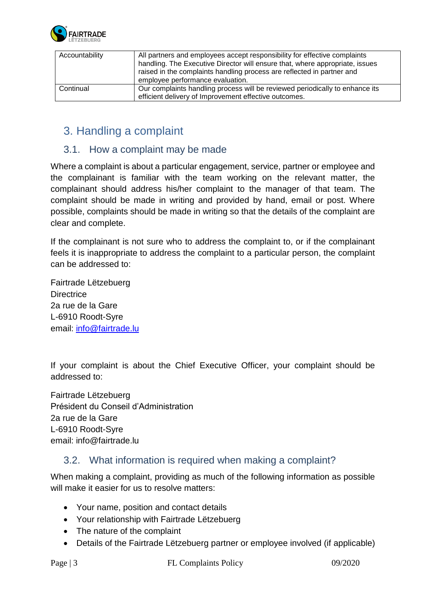

| Accountability | All partners and employees accept responsibility for effective complaints    |
|----------------|------------------------------------------------------------------------------|
|                | handling. The Executive Director will ensure that, where appropriate, issues |
|                | raised in the complaints handling process are reflected in partner and       |
|                | employee performance evaluation.                                             |
| Continual      | Our complaints handling process will be reviewed periodically to enhance its |
|                | efficient delivery of Improvement effective outcomes.                        |

## <span id="page-2-0"></span>3. Handling a complaint

#### <span id="page-2-1"></span>3.1. How a complaint may be made

Where a complaint is about a particular engagement, service, partner or employee and the complainant is familiar with the team working on the relevant matter, the complainant should address his/her complaint to the manager of that team. The complaint should be made in writing and provided by hand, email or post. Where possible, complaints should be made in writing so that the details of the complaint are clear and complete.

If the complainant is not sure who to address the complaint to, or if the complainant feels it is inappropriate to address the complaint to a particular person, the complaint can be addressed to:

Fairtrade Lëtzebuerg **Directrice** 2a rue de la Gare L-6910 Roodt-Syre email: [info@fairtrade.lu](mailto:info@fairtrade.lu)

If your complaint is about the Chief Executive Officer, your complaint should be addressed to:

Fairtrade Lëtzebuerg Président du Conseil d'Administration 2a rue de la Gare L-6910 Roodt-Syre email: info@fairtrade.lu

#### <span id="page-2-2"></span>3.2. What information is required when making a complaint?

When making a complaint, providing as much of the following information as possible will make it easier for us to resolve matters:

- Your name, position and contact details
- Your relationship with Fairtrade Lëtzebuerg
- The nature of the complaint
- Details of the Fairtrade Lëtzebuerg partner or employee involved (if applicable)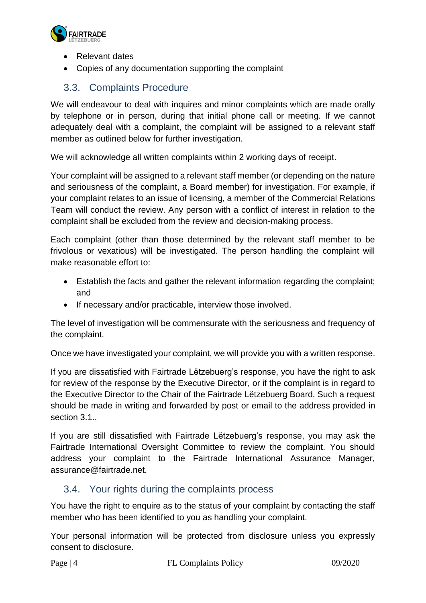

- Relevant dates
- Copies of any documentation supporting the complaint

#### <span id="page-3-0"></span>3.3. Complaints Procedure

We will endeavour to deal with inquires and minor complaints which are made orally by telephone or in person, during that initial phone call or meeting. If we cannot adequately deal with a complaint, the complaint will be assigned to a relevant staff member as outlined below for further investigation.

We will acknowledge all written complaints within 2 working days of receipt.

Your complaint will be assigned to a relevant staff member (or depending on the nature and seriousness of the complaint, a Board member) for investigation. For example, if your complaint relates to an issue of licensing, a member of the Commercial Relations Team will conduct the review. Any person with a conflict of interest in relation to the complaint shall be excluded from the review and decision-making process.

Each complaint (other than those determined by the relevant staff member to be frivolous or vexatious) will be investigated. The person handling the complaint will make reasonable effort to:

- Establish the facts and gather the relevant information regarding the complaint; and
- If necessary and/or practicable, interview those involved.

The level of investigation will be commensurate with the seriousness and frequency of the complaint.

Once we have investigated your complaint, we will provide you with a written response.

If you are dissatisfied with Fairtrade Lëtzebuerg's response, you have the right to ask for review of the response by the Executive Director, or if the complaint is in regard to the Executive Director to the Chair of the Fairtrade Lëtzebuerg Board. Such a request should be made in writing and forwarded by post or email to the address provided in section 3.1..

If you are still dissatisfied with Fairtrade Lëtzebuerg's response, you may ask the Fairtrade International Oversight Committee to review the complaint. You should address your complaint to the Fairtrade International Assurance Manager, assurance@fairtrade.net.

#### <span id="page-3-1"></span>3.4. Your rights during the complaints process

You have the right to enquire as to the status of your complaint by contacting the staff member who has been identified to you as handling your complaint.

Your personal information will be protected from disclosure unless you expressly consent to disclosure.